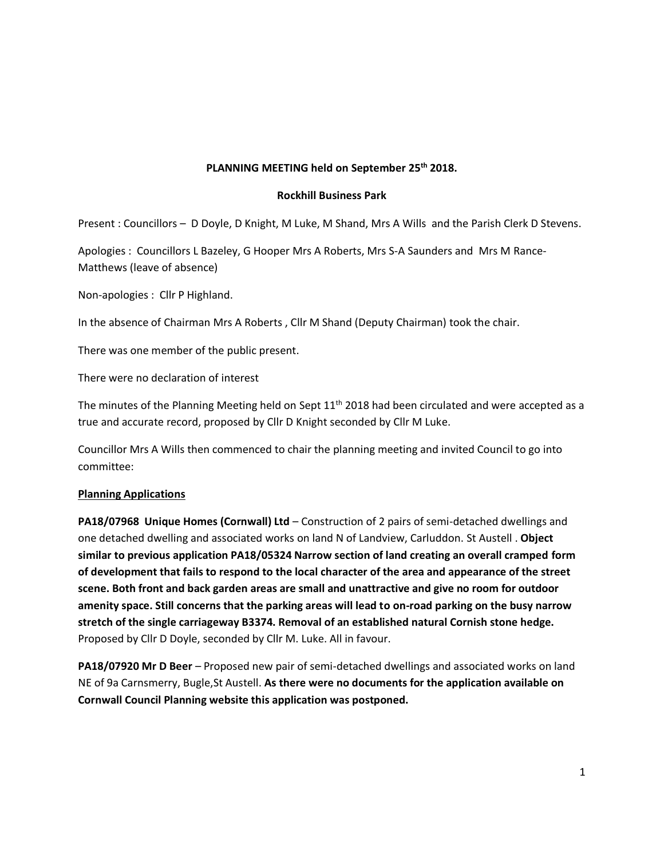# **PLANNING MEETING held on September 25th 2018.**

#### **Rockhill Business Park**

Present : Councillors – D Doyle, D Knight, M Luke, M Shand, Mrs A Wills and the Parish Clerk D Stevens.

Apologies : Councillors L Bazeley, G Hooper Mrs A Roberts, Mrs S-A Saunders and Mrs M Rance-Matthews (leave of absence)

Non-apologies : Cllr P Highland.

In the absence of Chairman Mrs A Roberts , Cllr M Shand (Deputy Chairman) took the chair.

There was one member of the public present.

There were no declaration of interest

The minutes of the Planning Meeting held on Sept  $11<sup>th</sup>$  2018 had been circulated and were accepted as a true and accurate record, proposed by Cllr D Knight seconded by Cllr M Luke.

Councillor Mrs A Wills then commenced to chair the planning meeting and invited Council to go into committee:

#### **Planning Applications**

**PA18/07968 Unique Homes (Cornwall) Ltd** – Construction of 2 pairs of semi-detached dwellings and one detached dwelling and associated works on land N of Landview, Carluddon. St Austell . **Object similar to previous application PA18/05324 Narrow section of land creating an overall cramped form of development that fails to respond to the local character of the area and appearance of the street scene. Both front and back garden areas are small and unattractive and give no room for outdoor amenity space. Still concerns that the parking areas will lead to on-road parking on the busy narrow stretch of the single carriageway B3374. Removal of an established natural Cornish stone hedge.**  Proposed by Cllr D Doyle, seconded by Cllr M. Luke. All in favour.

**PA18/07920 Mr D Beer** – Proposed new pair of semi-detached dwellings and associated works on land NE of 9a Carnsmerry, Bugle,St Austell. **As there were no documents for the application available on Cornwall Council Planning website this application was postponed.**